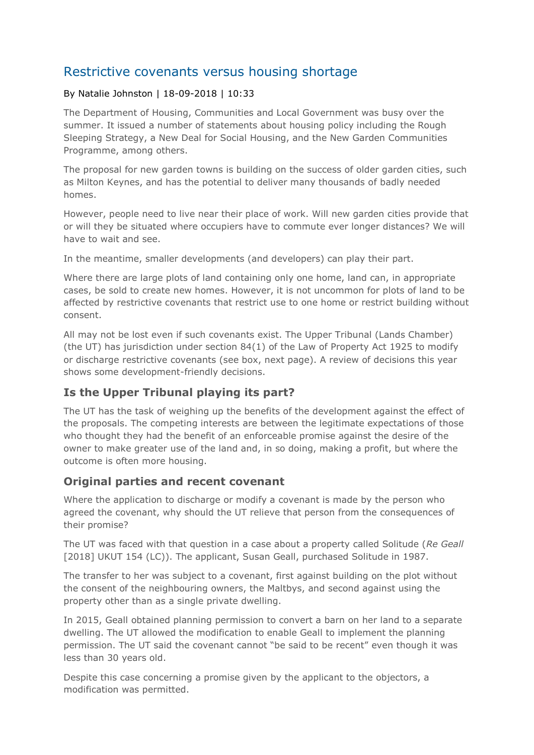# Restrictive covenants versus housing shortage

#### By Natalie Johnston | 18-09-2018 | 10:33

The Department of Housing, Communities and Local Government was busy over the summer. It issued a number of statements about housing policy including the Rough Sleeping Strategy, a New Deal for Social Housing, and the New Garden Communities Programme, among others.

The proposal for new garden towns is building on the success of older garden cities, such as Milton Keynes, and has the potential to deliver many thousands of badly needed homes.

However, people need to live near their place of work. Will new garden cities provide that or will they be situated where occupiers have to commute ever longer distances? We will have to wait and see.

In the meantime, smaller developments (and developers) can play their part.

Where there are large plots of land containing only one home, land can, in appropriate cases, be sold to create new homes. However, it is not uncommon for plots of land to be affected by restrictive covenants that restrict use to one home or restrict building without consent.

All may not be lost even if such covenants exist. The Upper Tribunal (Lands Chamber) (the UT) has jurisdiction under section 84(1) of the Law of Property Act 1925 to modify or discharge restrictive covenants (see box, next page). A review of decisions this year shows some development-friendly decisions.

#### **Is the Upper Tribunal playing its part?**

The UT has the task of weighing up the benefits of the development against the effect of the proposals. The competing interests are between the legitimate expectations of those who thought they had the benefit of an enforceable promise against the desire of the owner to make greater use of the land and, in so doing, making a profit, but where the outcome is often more housing.

#### **Original parties and recent covenant**

Where the application to discharge or modify a covenant is made by the person who agreed the covenant, why should the UT relieve that person from the consequences of their promise?

The UT was faced with that question in a case about a property called Solitude (*Re Geall* [2018] UKUT 154 (LC)). The applicant, Susan Geall, purchased Solitude in 1987.

The transfer to her was subject to a covenant, first against building on the plot without the consent of the neighbouring owners, the Maltbys, and second against using the property other than as a single private dwelling.

In 2015, Geall obtained planning permission to convert a barn on her land to a separate dwelling. The UT allowed the modification to enable Geall to implement the planning permission. The UT said the covenant cannot "be said to be recent" even though it was less than 30 years old.

Despite this case concerning a promise given by the applicant to the objectors, a modification was permitted.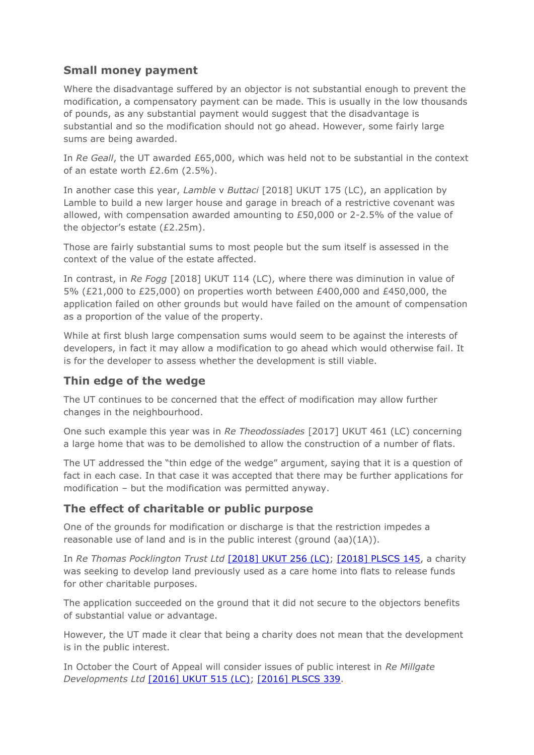### **Small money payment**

Where the disadvantage suffered by an objector is not substantial enough to prevent the modification, a compensatory payment can be made. This is usually in the low thousands of pounds, as any substantial payment would suggest that the disadvantage is substantial and so the modification should not go ahead. However, some fairly large sums are being awarded.

In *Re Geall*, the UT awarded £65,000, which was held not to be substantial in the context of an estate worth £2.6m (2.5%).

In another case this year, *Lamble* v *Buttaci* [2018] UKUT 175 (LC), an application by Lamble to build a new larger house and garage in breach of a restrictive covenant was allowed, with compensation awarded amounting to £50,000 or 2-2.5% of the value of the objector's estate (£2.25m).

Those are fairly substantial sums to most people but the sum itself is assessed in the context of the value of the estate affected.

In contrast, in *Re Fogg* [2018] UKUT 114 (LC), where there was diminution in value of 5% (£21,000 to £25,000) on properties worth between £400,000 and £450,000, the application failed on other grounds but would have failed on the amount of compensation as a proportion of the value of the property.

While at first blush large compensation sums would seem to be against the interests of developers, in fact it may allow a modification to go ahead which would otherwise fail. It is for the developer to assess whether the development is still viable.

#### **Thin edge of the wedge**

The UT continues to be concerned that the effect of modification may allow further changes in the neighbourhood.

One such example this year was in *Re Theodossiades* [2017] UKUT 461 (LC) concerning a large home that was to be demolished to allow the construction of a number of flats.

The UT addressed the "thin edge of the wedge" argument, saying that it is a question of fact in each case. In that case it was accepted that there may be further applications for modification – but the modification was permitted anyway.

## **The effect of charitable or public purpose**

One of the grounds for modification or discharge is that the restriction impedes a reasonable use of land and is in the public interest (ground (aa)(1A)).

In *Re Thomas Pocklington Trust Ltd* [\[2018\] UKUT 256 \(LC\);](http://wordpress.egi.co.uk/https:/wordpress.egi.co.uk/legal/re-thomas-pocklington-trust-ltds-application-2/) [\[2018\] PLSCS 145,](http://wordpress.egi.co.uk/https:/wordpress.egi.co.uk/legal/re-thomas-pocklington-trust-ltds-application/) a charity was seeking to develop land previously used as a care home into flats to release funds for other charitable purposes.

The application succeeded on the ground that it did not secure to the objectors benefits of substantial value or advantage.

However, the UT made it clear that being a charity does not mean that the development is in the public interest.

In October the Court of Appeal will consider issues of public interest in *Re Millgate Developments Ltd* [\[2016\] UKUT 515 \(LC\);](http://wordpress.egi.co.uk/https:/wordpress.egi.co.uk/legal/re-millgate-developments-ltds-application-2/) [\[2016\] PLSCS 339.](http://wordpress.egi.co.uk/https:/wordpress.egi.co.uk/legal/re-millgate-developments-ltds-application/)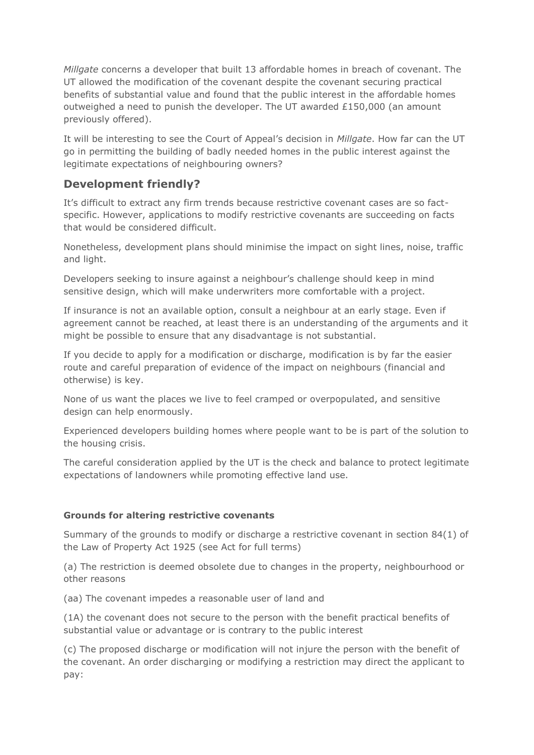*Millgate* concerns a developer that built 13 affordable homes in breach of covenant. The UT allowed the modification of the covenant despite the covenant securing practical benefits of substantial value and found that the public interest in the affordable homes outweighed a need to punish the developer. The UT awarded £150,000 (an amount previously offered).

It will be interesting to see the Court of Appeal's decision in *Millgate*. How far can the UT go in permitting the building of badly needed homes in the public interest against the legitimate expectations of neighbouring owners?

### **Development friendly?**

It's difficult to extract any firm trends because restrictive covenant cases are so factspecific. However, applications to modify restrictive covenants are succeeding on facts that would be considered difficult.

Nonetheless, development plans should minimise the impact on sight lines, noise, traffic and light.

Developers seeking to insure against a neighbour's challenge should keep in mind sensitive design, which will make underwriters more comfortable with a project.

If insurance is not an available option, consult a neighbour at an early stage. Even if agreement cannot be reached, at least there is an understanding of the arguments and it might be possible to ensure that any disadvantage is not substantial.

If you decide to apply for a modification or discharge, modification is by far the easier route and careful preparation of evidence of the impact on neighbours (financial and otherwise) is key.

None of us want the places we live to feel cramped or overpopulated, and sensitive design can help enormously.

Experienced developers building homes where people want to be is part of the solution to the housing crisis.

The careful consideration applied by the UT is the check and balance to protect legitimate expectations of landowners while promoting effective land use.

#### **Grounds for altering restrictive covenants**

Summary of the grounds to modify or discharge a restrictive covenant in section 84(1) of the Law of Property Act 1925 (see Act for full terms)

(a) The restriction is deemed obsolete due to changes in the property, neighbourhood or other reasons

(aa) The covenant impedes a reasonable user of land and

(1A) the covenant does not secure to the person with the benefit practical benefits of substantial value or advantage or is contrary to the public interest

(c) The proposed discharge or modification will not injure the person with the benefit of the covenant. An order discharging or modifying a restriction may direct the applicant to pay: